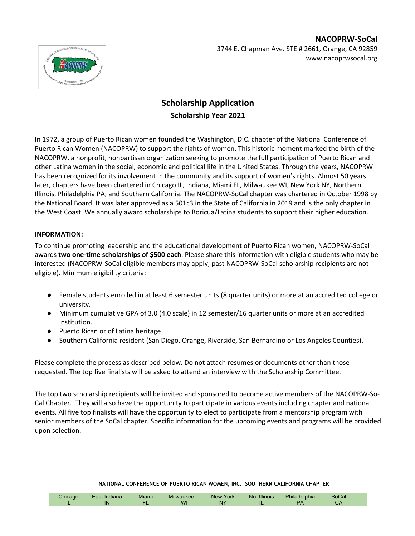

## **NACOPRW-SoCal** 3744 E. Chapman Ave. STE # 2661, Orange, CA 92859 www.nacoprwsocal.org

# **Scholarship Application Scholarship Year 2021**

In 1972, a group of Puerto Rican women founded the Washington, D.C. chapter of the National Conference of Puerto Rican Women (NACOPRW) to support the rights of women. This historic moment marked the birth of the NACOPRW, a nonprofit, nonpartisan organization seeking to promote the full participation of Puerto Rican and other Latina women in the social, economic and political life in the United States. Through the years, NACOPRW has been recognized for its involvement in the community and its support of women's rights. Almost 50 years later, chapters have been chartered in Chicago IL, Indiana, Miami FL, Milwaukee WI, New York NY, Northern Illinois, Philadelphia PA, and Southern California. The NACOPRW-SoCal chapter was chartered in October 1998 by the National Board. It was later approved as a 501c3 in the State of California in 2019 and is the only chapter in the West Coast. We annually award scholarships to Boricua/Latina students to support their higher education.

#### **INFORMATION:**

To continue promoting leadership and the educational development of Puerto Rican women, NACOPRW-SoCal awards **two one-time scholarships of \$500 each**. Please share this information with eligible students who may be interested (NACOPRW-SoCal eligible members may apply; past NACOPRW-SoCal scholarship recipients are not eligible). Minimum eligibility criteria:

- Female students enrolled in at least 6 semester units (8 quarter units) or more at an accredited college or university.
- Minimum cumulative GPA of 3.0 (4.0 scale) in 12 semester/16 quarter units or more at an accredited institution.
- Puerto Rican or of Latina heritage
- Southern California resident (San Diego, Orange, Riverside, San Bernardino or Los Angeles Counties).

Please complete the process as described below. Do not attach resumes or documents other than those requested. The top five finalists will be asked to attend an interview with the Scholarship Committee.

The top two scholarship recipients will be invited and sponsored to become active members of the NACOPRW-So-Cal Chapter. They will also have the opportunity to participate in various events including chapter and national events. All five top finalists will have the opportunity to elect to participate from a mentorship program with senior members of the SoCal chapter. Specific information for the upcoming events and programs will be provided upon selection.

| NATIONAL CONFERENCE OF PUERTO RICAN WOMEN, INC. SOUTHERN CALIFORNIA CHAPTER |  |
|-----------------------------------------------------------------------------|--|

|  | hirar<br>IL | ulal la<br>IN<br>. . | <b>Miami</b> | WI | ʻork<br>NQV<br>N١ | <b>Illinois</b><br><b>No</b><br>IL | 'UHL<br>- - | boual |  |
|--|-------------|----------------------|--------------|----|-------------------|------------------------------------|-------------|-------|--|
|--|-------------|----------------------|--------------|----|-------------------|------------------------------------|-------------|-------|--|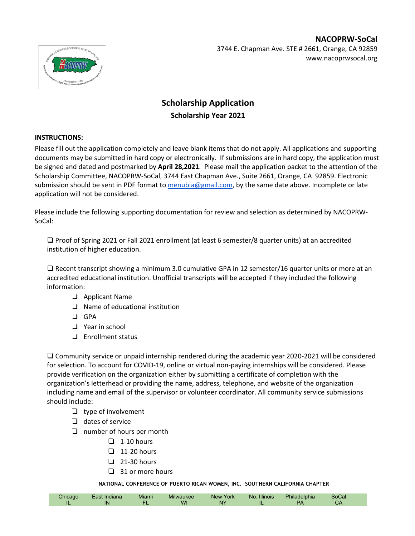

## **NACOPRW-SoCal** 3744 E. Chapman Ave. STE # 2661, Orange, CA 92859 www.nacoprwsocal.org

# **Scholarship Application Scholarship Year 2021**

#### **INSTRUCTIONS:**

Please fill out the application completely and leave blank items that do not apply. All applications and supporting documents may be submitted in hard copy or electronically. If submissions are in hard copy, the application must be signed and dated and postmarked by **April 28,2021**. Please mail the application packet to the attention of the Scholarship Committee, NACOPRW-SoCal, 3744 East Chapman Ave., Suite 2661, Orange, CA 92859. Electronic submission should be sent in PDF format to menubia@gmail.com, by the same date above. Incomplete or late application will not be considered.

Please include the following supporting documentation for review and selection as determined by NACOPRW-SoCal:

❑ Proof of Spring 2021 or Fall 2021 enrollment (at least 6 semester/8 quarter units) at an accredited institution of higher education.

❑ Recent transcript showing a minimum 3.0 cumulative GPA in 12 semester/16 quarter units or more at an accredited educational institution. Unofficial transcripts will be accepted if they included the following information:

- ❏ Applicant Name
- ❏ Name of educational institution
- ❏ GPA
- ❏ Year in school
- ❏ Enrollment status

❑ Community service or unpaid internship rendered during the academic year 2020-2021 will be considered for selection. To account for COVID-19, online or virtual non-paying internships will be considered. Please provide verification on the organization either by submitting a certificate of completion with the organization's letterhead or providing the name, address, telephone, and website of the organization including name and email of the supervisor or volunteer coordinator. All community service submissions should include:

- ❏ type of involvement
- ❏ dates of service
- ❏ number of hours per month
	- $\Box$  1-10 hours
	- $\Box$  11-20 hours
	- ❏ 21-30 hours
	- ❏ 31 or more hours

**NATIONAL CONFERENCE OF PUERTO RICAN WOMEN, INC. SOUTHERN CALIFORNIA CHAPTER**

|  | ∠hicaɑo<br>. . | - oot<br>Indiana<br>IN | Miami | .<br>Milwaukee<br>WI | York<br><b>New</b><br><b>N<sub>V</sub></b> | <b>Illinois</b><br>No.<br> | Philadelphia | <b>SoCal</b><br>◡◠ |  |
|--|----------------|------------------------|-------|----------------------|--------------------------------------------|----------------------------|--------------|--------------------|--|
|--|----------------|------------------------|-------|----------------------|--------------------------------------------|----------------------------|--------------|--------------------|--|